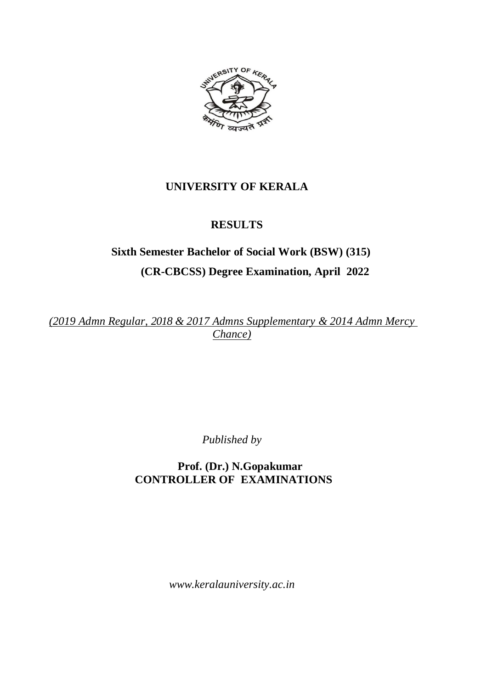

# **UNIVERSITY OF KERALA**

# **RESULTS**

# **Sixth Semester Bachelor of Social Work (BSW) (315) (CR-CBCSS) Degree Examination, April 2022**

*(2019 Admn Regular, 2018 & 2017 Admns Supplementary & 2014 Admn Mercy Chance)*

*Published by*

 **Prof. (Dr.) N.Gopakumar CONTROLLER OF EXAMINATIONS**

*www.keralauniversity.ac.in*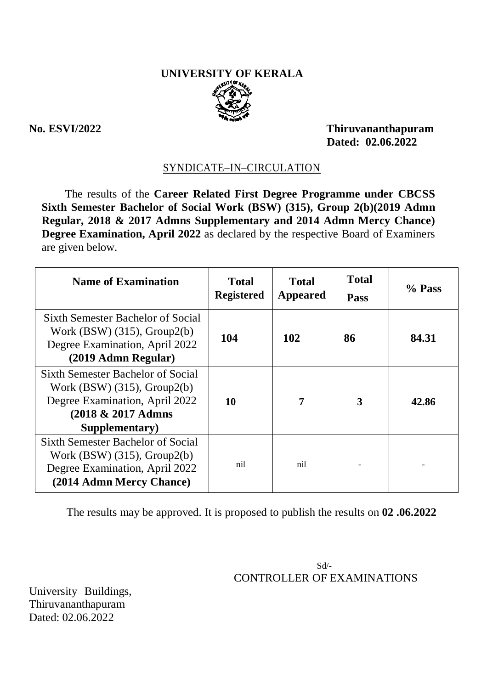# **UNIVERSITY OF KERALA**



**No. ESVI/2022 Thiruvananthapuram Dated: 02.06.2022**

# SYNDICATE–IN–CIRCULATION

The results of the **Career Related First Degree Programme under CBCSS Sixth Semester Bachelor of Social Work (BSW) (315), Group 2(b)(2019 Admn Regular, 2018 & 2017 Admns Supplementary and 2014 Admn Mercy Chance) Degree Examination, April 2022** as declared by the respective Board of Examiners are given below.

| <b>Name of Examination</b>                                                                                                                   | <b>Total</b><br><b>Registered</b> | <b>Total</b><br>Appeared | <b>Total</b><br><b>Pass</b> | % Pass |
|----------------------------------------------------------------------------------------------------------------------------------------------|-----------------------------------|--------------------------|-----------------------------|--------|
| <b>Sixth Semester Bachelor of Social</b><br>Work $(BSW)$ (315), Group2(b)<br>Degree Examination, April 2022<br>(2019 Admn Regular)           | 104                               | 102                      | 86                          | 84.31  |
| Sixth Semester Bachelor of Social<br>Work $(BSW)$ (315), Group2(b)<br>Degree Examination, April 2022<br>(2018 & 2017 Admns<br>Supplementary) | 10                                | 7                        | 3                           | 42.86  |
| Sixth Semester Bachelor of Social<br>Work $(BSW)$ (315), Group2(b)<br>Degree Examination, April 2022<br>(2014 Admn Mercy Chance)             | nil                               | nil                      |                             |        |

The results may be approved. It is proposed to publish the results on **02 .06.2022**

 Sd/- CONTROLLER OF EXAMINATIONS

University Buildings, Thiruvananthapuram Dated: 02.06.2022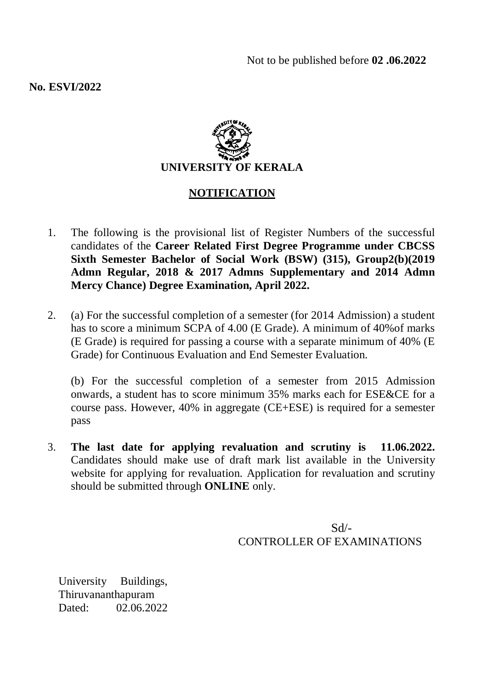**No. ESVI/2022**



# **NOTIFICATION**

- 1. The following is the provisional list of Register Numbers of the successful candidates of the **Career Related First Degree Programme under CBCSS Sixth Semester Bachelor of Social Work (BSW) (315), Group2(b)(2019 Admn Regular, 2018 & 2017 Admns Supplementary and 2014 Admn Mercy Chance) Degree Examination, April 2022.**
- 2. (a) For the successful completion of a semester (for 2014 Admission) a student has to score a minimum SCPA of 4.00 (E Grade). A minimum of 40%of marks (E Grade) is required for passing a course with a separate minimum of 40% (E Grade) for Continuous Evaluation and End Semester Evaluation.

(b) For the successful completion of a semester from 2015 Admission onwards, a student has to score minimum 35% marks each for ESE&CE for a course pass. However, 40% in aggregate (CE+ESE) is required for a semester pass

3. **The last date for applying revaluation and scrutiny is 11.06.2022.** Candidates should make use of draft mark list available in the University website for applying for revaluation. Application for revaluation and scrutiny should be submitted through **ONLINE** only.

> $Sd$ <sup>-</sup> CONTROLLER OF EXAMINATIONS

University Buildings, Thiruvananthapuram Dated: 02.06.2022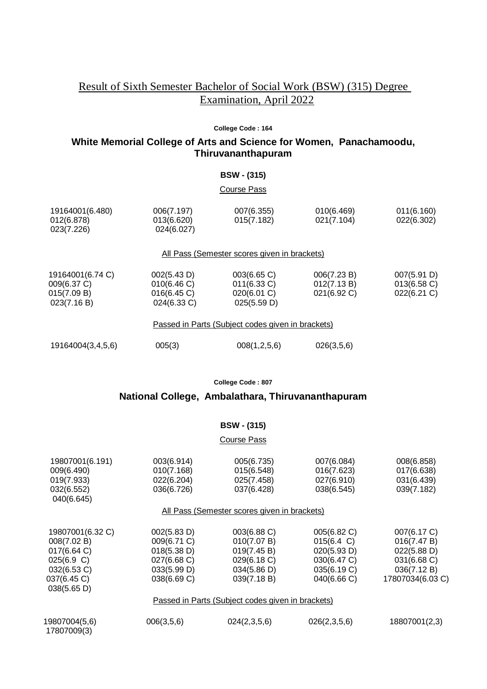# Result of Sixth Semester Bachelor of Social Work (BSW) (315) Degree Examination, April 2022

#### **College Code : 164**

# **White Memorial College of Arts and Science for Women, Panachamoodu, Thiruvananthapuram**

#### **BSW - (315)**

#### Course Pass

|                                                   | 19164001(6.480)<br>012(6.878)<br>023(7.226)                   | 006(7.197)<br>013(6.620)<br>024(6.027)                   | 007(6.355)<br>015(7.182)                                 | 010(6.469)<br>021(7.104)                  | 011(6.160)<br>022(6.302)                |  |
|---------------------------------------------------|---------------------------------------------------------------|----------------------------------------------------------|----------------------------------------------------------|-------------------------------------------|-----------------------------------------|--|
|                                                   |                                                               |                                                          | All Pass (Semester scores given in brackets)             |                                           |                                         |  |
|                                                   | 19164001(6.74 C)<br>009(6.37 C)<br>015(7.09 B)<br>023(7.16 B) | 002(5.43 D)<br>010(6.46 C)<br>016(6.45 C)<br>024(6.33 C) | 003(6.65 C)<br>011(6.33 C)<br>020(6.01 C)<br>025(5.59 D) | 006(7.23 B)<br>012(7.13 B)<br>021(6.92 C) | 007(5.91 D)<br>013(6.58)<br>022(6.21 C) |  |
| Passed in Parts (Subject codes given in brackets) |                                                               |                                                          |                                                          |                                           |                                         |  |
|                                                   | 19164004(3,4,5,6)                                             | 005(3)                                                   | 008(1, 2, 5, 6)                                          | 026(3,5,6)                                |                                         |  |

**College Code : 807**

# **National College, Ambalathara, Thiruvananthapuram**

#### **BSW - (315)**

#### Course Pass

| 19807001(6.191)<br>009(6.490)                     | 003(6.914)<br>010(7.168) | 005(6.735)<br>015(6.548) | 007(6.084)<br>016(7.623) | 008(6.858)<br>017(6.638) |  |  |
|---------------------------------------------------|--------------------------|--------------------------|--------------------------|--------------------------|--|--|
| 019(7.933)                                        | 022(6.204)               | 025(7.458)               | 027(6.910)               | 031(6.439)               |  |  |
| 032(6.552)<br>040(6.645)                          | 036(6.726)               | 037(6.428)               | 038(6.545)               | 039(7.182)               |  |  |
| All Pass (Semester scores given in brackets)      |                          |                          |                          |                          |  |  |
| 19807001(6.32 C)                                  | 002(5.83 D)              | 003(6.88 C)              | 005(6.82 C)              | 007(6.17 C)              |  |  |
| 008(7.02 B)                                       | 009(6.71 C)              | 010(7.07 B)              | 015(6.4 C)               | 016(7.47 B)              |  |  |
| 017(6.64)                                         | 018(5.38 D)              | 019(7.45 B)              | 020(5.93 D)              | $022(5.88 \text{ D})$    |  |  |
| 025(6.9 C)                                        | 027(6.68 C)              | 029(6.18 C)              | 030(6.47 C)              | 031(6.68 C)              |  |  |
| 032(6.53 C)                                       | 033(5.99 D)              | 034(5.86 D)              | 035(6.19 C)              | 036(7.12 B)              |  |  |
| 037(6.45 C)                                       | 038(6.69 C)              | 039(7.18 B)              | 040(6.66 C)              | 17807034(6.03 C)         |  |  |
| 038(5.65 D)                                       |                          |                          |                          |                          |  |  |
| Passed in Parts (Subject codes given in brackets) |                          |                          |                          |                          |  |  |
| 19807004(5,6)<br>17807009(3)                      | 006(3,5,6)               | 024(2,3,5,6)             | 026(2,3,5,6)             | 18807001(2,3)            |  |  |